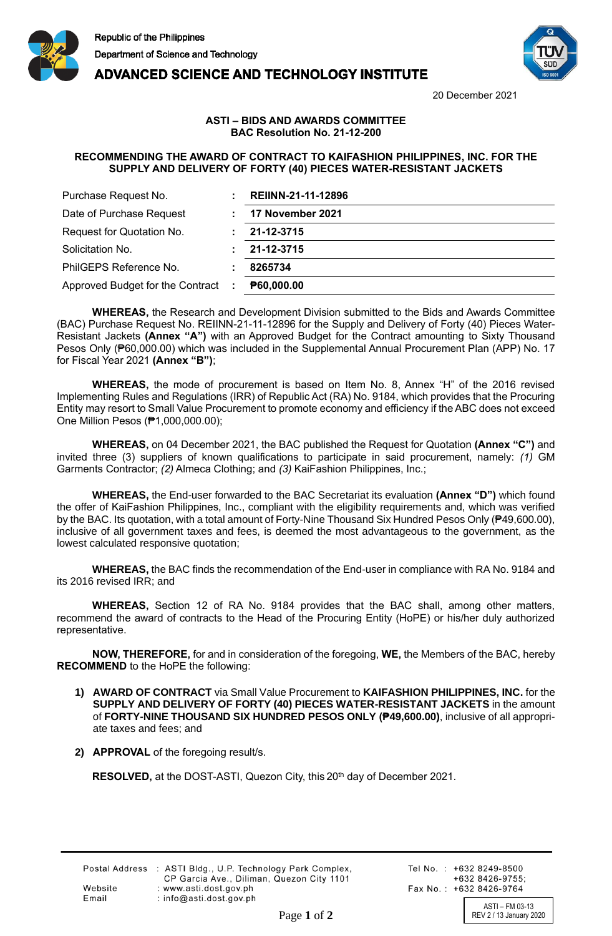



**ADVANCED SCIENCE AND TECHNOLOGY INSTITUTE** 

20 December 2021

## **ASTI – BIDS AND AWARDS COMMITTEE BAC Resolution No. 21-12-200**

## **RECOMMENDING THE AWARD OF CONTRACT TO KAIFASHION PHILIPPINES, INC. FOR THE SUPPLY AND DELIVERY OF FORTY (40) PIECES WATER-RESISTANT JACKETS**

| Purchase Request No.             | <b>REIINN-21-11-12896</b> |
|----------------------------------|---------------------------|
| Date of Purchase Request         | 17 November 2021          |
| Request for Quotation No.        | 21-12-3715                |
| Solicitation No.                 | 21-12-3715                |
| PhilGEPS Reference No.           | 8265734                   |
| Approved Budget for the Contract | P60,000.00                |

**WHEREAS,** the Research and Development Division submitted to the Bids and Awards Committee (BAC) Purchase Request No. REIINN-21-11-12896 for the Supply and Delivery of Forty (40) Pieces Water-Resistant Jackets **(Annex "A")** with an Approved Budget for the Contract amounting to Sixty Thousand Pesos Only (₱60,000.00) which was included in the Supplemental Annual Procurement Plan (APP) No. 17 for Fiscal Year 2021 **(Annex "B")**;

**WHEREAS,** the mode of procurement is based on Item No. 8, Annex "H" of the 2016 revised Implementing Rules and Regulations (IRR) of Republic Act (RA) No. 9184, which provides that the Procuring Entity may resort to Small Value Procurement to promote economy and efficiency if the ABC does not exceed One Million Pesos (₱1,000,000.00);

**WHEREAS,** on 04 December 2021, the BAC published the Request for Quotation **(Annex "C")** and invited three (3) suppliers of known qualifications to participate in said procurement, namely: *(1)* GM Garments Contractor; *(2)* Almeca Clothing; and *(3)* KaiFashion Philippines, Inc.;

**WHEREAS,** the End-user forwarded to the BAC Secretariat its evaluation **(Annex "D")** which found the offer of KaiFashion Philippines, Inc., compliant with the eligibility requirements and, which was verified by the BAC. Its quotation, with a total amount of Forty-Nine Thousand Six Hundred Pesos Only (₱49,600.00), inclusive of all government taxes and fees, is deemed the most advantageous to the government, as the lowest calculated responsive quotation;

**WHEREAS,** the BAC finds the recommendation of the End-user in compliance with RA No. 9184 and its 2016 revised IRR; and

**WHEREAS,** Section 12 of RA No. 9184 provides that the BAC shall, among other matters, recommend the award of contracts to the Head of the Procuring Entity (HoPE) or his/her duly authorized representative.

**NOW, THEREFORE,** for and in consideration of the foregoing, **WE,** the Members of the BAC, hereby **RECOMMEND** to the HoPE the following:

- **1) AWARD OF CONTRACT** via Small Value Procurement to **KAIFASHION PHILIPPINES, INC.** for the **SUPPLY AND DELIVERY OF FORTY (40) PIECES WATER-RESISTANT JACKETS** in the amount of **FORTY-NINE THOUSAND SIX HUNDRED PESOS ONLY (₱49,600.00)**, inclusive of all appropriate taxes and fees; and
- **2) APPROVAL** of the foregoing result/s.

**RESOLVED,** at the DOST-ASTI, Quezon City, this 20<sup>th</sup> day of December 2021.